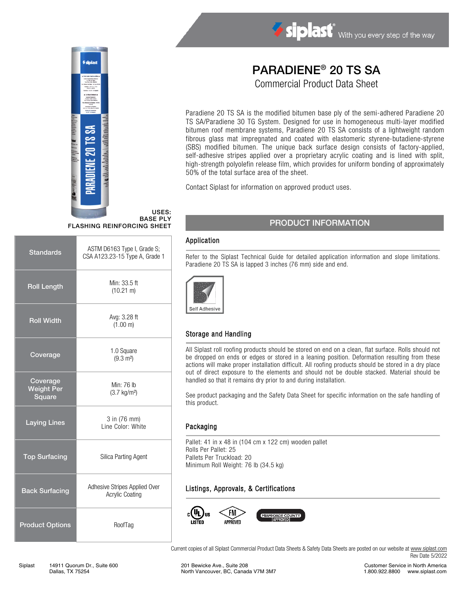

# Siplast With you every step of the way

# PARADIENE® 20 TS SA

Commercial Product Data Sheet

Paradiene 20 TS SA is the modified bitumen base ply of the semi-adhered Paradiene 20 TS SA/Paradiene 30 TG System. Designed for use in homogeneous multi-layer modified bitumen roof membrane systems, Paradiene 20 TS SA consists of a lightweight random fibrous glass mat impregnated and coated with elastomeric styrene-butadiene-styrene (SBS) modified bitumen. The unique back surface design consists of factory-applied, self-adhesive stripes applied over a proprietary acrylic coating and is lined with split, high-strength polyolefin release film, which provides for uniform bonding of approximately 50% of the total surface area of the sheet.

Contact Siplast for information on approved product uses.

#### USES: BASE PLY FLASHING REINFORCING SHEET

| <b>Standards</b>                        | ASTM D6163 Type I, Grade S;<br>CSA A123.23-15 Type A, Grade 1 |  |
|-----------------------------------------|---------------------------------------------------------------|--|
| <b>Roll Length</b>                      | Min: 33.5 ft<br>$(10.21 \text{ m})$                           |  |
| <b>Roll Width</b>                       | Avg: 3.28 ft<br>(1.00 m)                                      |  |
| Coverage                                | 1.0 Square<br>$(9.3 \text{ m}^2)$                             |  |
| Coverage<br><b>Weight Per</b><br>Square | Min: 76 lb<br>$(3.7 \text{ kg/m}^2)$                          |  |
| <b>Laying Lines</b>                     | 3 in (76 mm)<br>Line Color: White                             |  |
| <b>Top Surfacing</b>                    | Silica Parting Agent                                          |  |
| <b>Back Surfacing</b>                   | Adhesive Stripes Applied Over<br><b>Acrylic Coating</b>       |  |
| <b>Product Options</b>                  | RoofTag                                                       |  |

## PRODUCT INFORMATION

#### Application

Refer to the Siplast Technical Guide for detailed application information and slope limitations. Paradiene 20 TS SA is lapped 3 inches (76 mm) side and end.



### Storage and Handling

All Siplast roll roofing products should be stored on end on a clean, flat surface. Rolls should not be dropped on ends or edges or stored in a leaning position. Deformation resulting from these actions will make proper installation difficult. All roofing products should be stored in a dry place out of direct exposure to the elements and should not be double stacked. Material should be handled so that it remains dry prior to and during installation.

See product packaging and the Safety Data Sheet for specific information on the safe handling of this product.

#### Packaging

Pallet: 41 in x 48 in (104 cm x 122 cm) wooden pallet Rolls Per Pallet: 25 Pallets Per Truckload: 20 Minimum Roll Weight: 76 lb (34.5 kg)

### Listings, Approvals, & Certifications



Current copies of all Siplast Commercial Product Data Sheets & Safety Data Sheets are posted on our website at [www.siplast.com](http://www.siplast.com/) Rev Date 5/2022

Customer Service in North America 1.800.922.8800 www.siplast.com